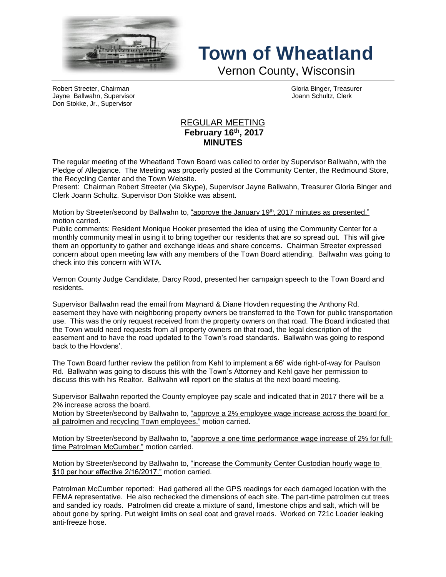

## **Town of Wheatland**

Vernon County, Wisconsin

Robert Streeter, Chairman Gloria Binger, Treasurer Jayne Ballwahn, Supervisor Joann Schultz, Clerk Don Stokke, Jr., Supervisor

## REGULAR MEETING **February 16th , 2017 MINUTES**

The regular meeting of the Wheatland Town Board was called to order by Supervisor Ballwahn, with the Pledge of Allegiance. The Meeting was properly posted at the Community Center, the Redmound Store, the Recycling Center and the Town Website.

Present: Chairman Robert Streeter (via Skype), Supervisor Jayne Ballwahn, Treasurer Gloria Binger and Clerk Joann Schultz. Supervisor Don Stokke was absent.

Motion by Streeter/second by Ballwahn to, <u>"approve the January 19<sup>th</sup>, 2017 minutes as presented."</u> motion carried.

Public comments: Resident Monique Hooker presented the idea of using the Community Center for a monthly community meal in using it to bring together our residents that are so spread out. This will give them an opportunity to gather and exchange ideas and share concerns. Chairman Streeter expressed concern about open meeting law with any members of the Town Board attending. Ballwahn was going to check into this concern with WTA.

Vernon County Judge Candidate, Darcy Rood, presented her campaign speech to the Town Board and residents.

Supervisor Ballwahn read the email from Maynard & Diane Hovden requesting the Anthony Rd. easement they have with neighboring property owners be transferred to the Town for public transportation use. This was the only request received from the property owners on that road. The Board indicated that the Town would need requests from all property owners on that road, the legal description of the easement and to have the road updated to the Town's road standards. Ballwahn was going to respond back to the Hovdens'.

The Town Board further review the petition from Kehl to implement a 66' wide right-of-way for Paulson Rd. Ballwahn was going to discuss this with the Town's Attorney and Kehl gave her permission to discuss this with his Realtor. Ballwahn will report on the status at the next board meeting.

Supervisor Ballwahn reported the County employee pay scale and indicated that in 2017 there will be a 2% increase across the board.

Motion by Streeter/second by Ballwahn to, "approve a 2% employee wage increase across the board for all patrolmen and recycling Town employees." motion carried.

Motion by Streeter/second by Ballwahn to, "approve a one time performance wage increase of 2% for fulltime Patrolman McCumber." motion carried.

Motion by Streeter/second by Ballwahn to, "increase the Community Center Custodian hourly wage to \$10 per hour effective 2/16/2017." motion carried.

Patrolman McCumber reported: Had gathered all the GPS readings for each damaged location with the FEMA representative. He also rechecked the dimensions of each site. The part-time patrolmen cut trees and sanded icy roads. Patrolmen did create a mixture of sand, limestone chips and salt, which will be about gone by spring. Put weight limits on seal coat and gravel roads. Worked on 721c Loader leaking anti-freeze hose.